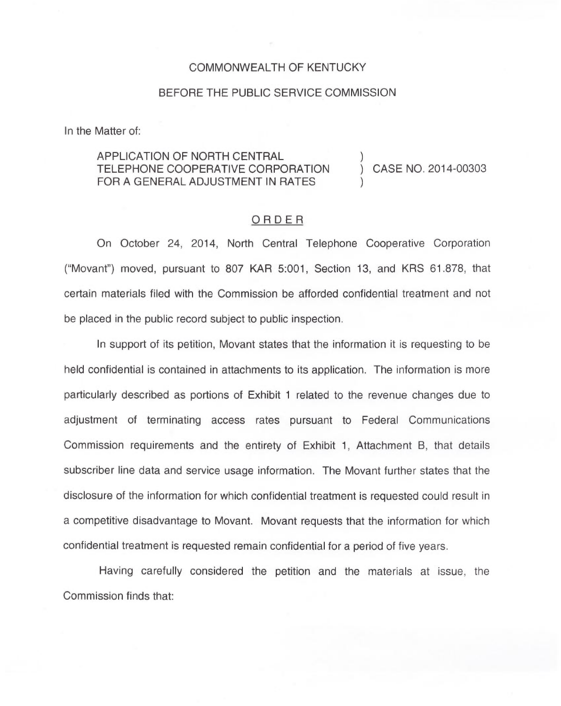## COMMONWEALTH OF KENTUCKY

## BEFORE THE PUBLIC SERVICE COMMISSION

In the Matter of:

## APPLICATION OF NORTH CENTRAL TELEPHONE COOPERATIVE CORPORATION FOR A GENERAL ADJUSTMENT IN RATES

) CASE NO. 2014-00303

)

)

## ORDER

On October 24, 2014, North Central Telephone Cooperative Corporation ("Movant") moved, pursuant to 807 KAR 5:001, Section 13, and KRS 61.878, that certain materials filed with the Commission be afforded confidential treatment and not be placed in the public record subject to public inspection.

In support of its petition, Movant states that the information it is requesting to be held confidential is contained in attachments to its application. The information is more particularly described as portions of Exhibit <sup>1</sup> related to the revenue changes due to adjustment of terminating access rates pursuant to Federal Communications Commission requirements and the entirety of Exhibit 1, Attachment B, that details subscriber line data and service usage information. The Movant further states that the disclosure of the information for which confidential treatment is requested could result in a competitive disadvantage to Movant. Movant requests that the information for which confidential treatment is requested remain confidential for a period of five years.

Having carefully considered the petition and the materials at issue, the Commission finds that: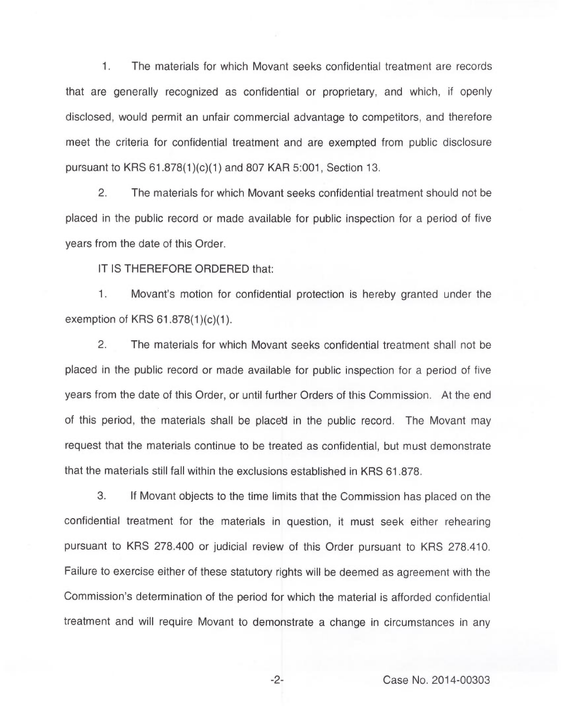1. The materials for which Movant seeks confidential treatment are records that are generally recognized as confidential or proprietary, and which, if openly disclosed, would permit an unfair commercial advantage to competitors, and therefore meet the criteria for confidential treatment and are exempted from public disclosure pursuant to KRS 61.878(1)(c)(1)and 807 KAR 5:001, Section 13.

2. The materials for which Movant seeks confidential treatment should not be placed in the public record or made available for public inspection for a period of five years from the date of this Order.

IT IS THEREFORE ORDERED that:

 $1.$ Movant's motion for confidential protection is hereby granted under the exemption of KRS 61.878(1)(c)(1).

2. The materials for which Movant seeks confidential treatment shall not be placed in the public record or made available for public inspection for a period of five years from the date of this Order, or until further Orders of this Commission. At the end of this period, the materials shall be placed in the public record. The Movant may request that the materials continue to be treated as confidential, but must demonstrate that the materials still fall within the exclusions established in KRS 61.878.

3. If Movant objects to the time limits that the Commission has placed on the confidential treatment for the materials in question, it must seek either rehearing pursuant to KRS 278.400 or judicial review of this Order pursuant to KRS 278.410. Failure to exercise either of these statutory rights will be deemed as agreement with the Commission's determination of the period for which the material is afforded confidential treatment and will require Movant to demonstrate a change in circumstances in any

-2- Case No. 2014-00303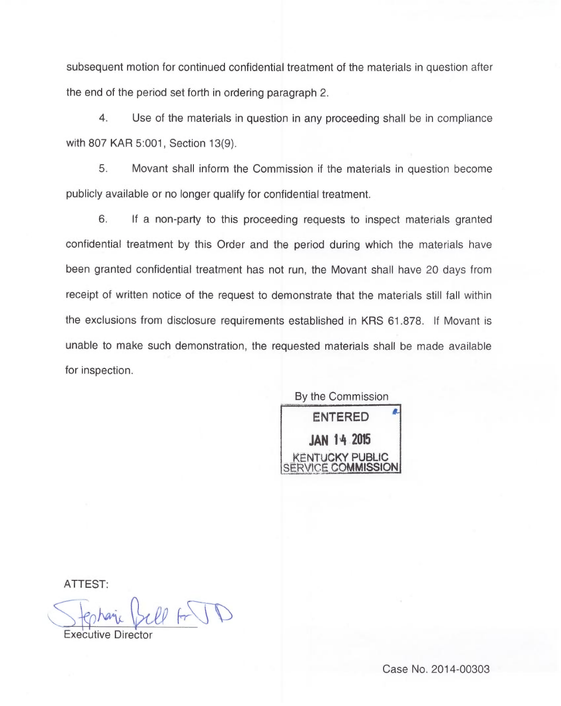subsequent motion for continued confidential treatment of the materials in question after the end of the period set forth in ordering paragraph 2.

4. Use of the materials in question in any proceeding shall be in compliance with 807 KAR 5:001, Section 13(9).

5. Movant shall inform the Commission if the materials in question become publicly available or no longer qualify for confidential treatment.

6. If a non-party to this proceeding requests to inspect materials granted confidential treatment by this Order and the period during which the materials have been granted confidential treatment has not run, the Movant shall have 20 days from receipt of written notice of the request to demonstrate that the materials still fall within the exclusions from disclosure requirements established in KRS 61.878. If Movant is unable to make such demonstration, the requested materials shall be made available for inspection.

By the Commission ENTERED JAN 14 205 **UCKY PUBLIC**  $E$  COMMISSION

ATTEST:

Executive Director